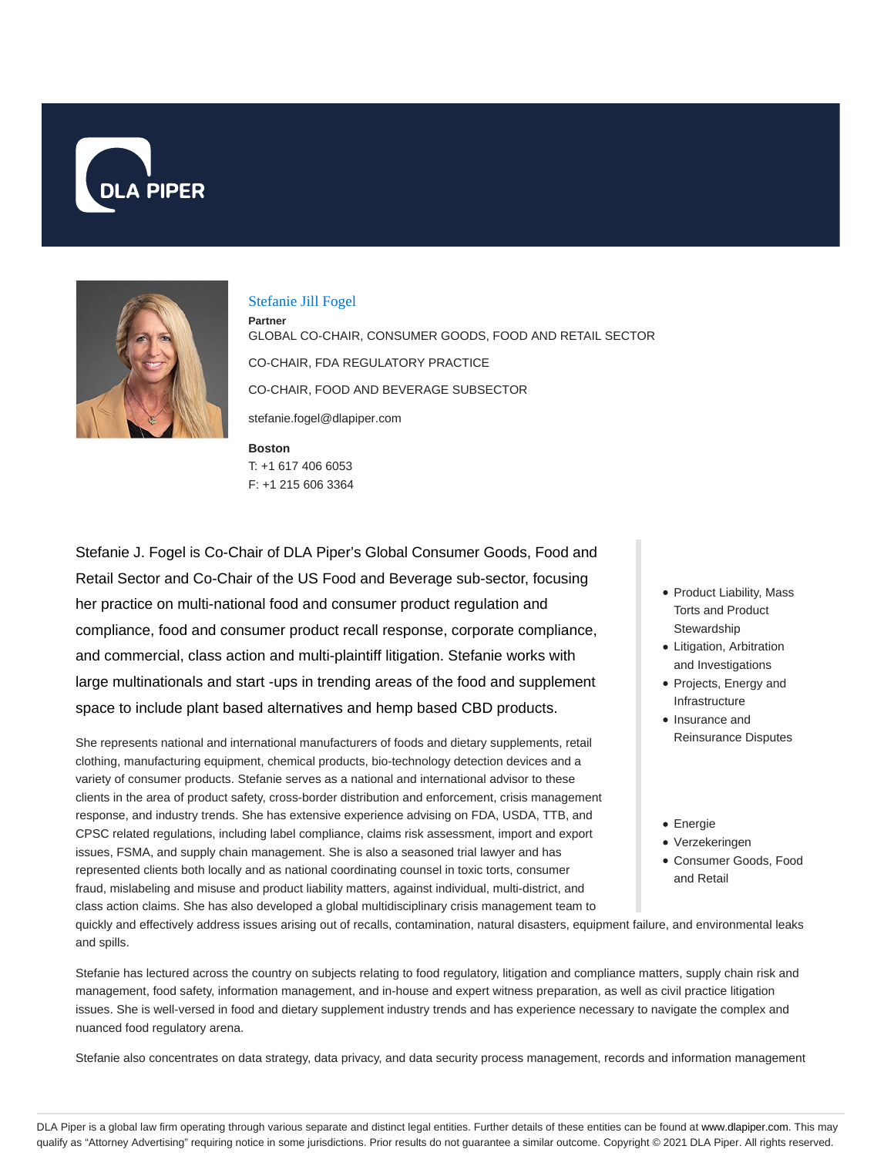



#### Stefanie Jill Fogel

**Boston Partner** GLOBAL CO-CHAIR, CONSUMER GOODS, FOOD AND RETAIL SECTOR CO-CHAIR, FDA REGULATORY PRACTICE CO-CHAIR, FOOD AND BEVERAGE SUBSECTOR stefanie.fogel@dlapiper.com

T: +1 617 406 6053 F: +1 215 606 3364

Stefanie J. Fogel is Co-Chair of DLA Piper's Global Consumer Goods, Food and Retail Sector and Co-Chair of the US Food and Beverage sub-sector, focusing her practice on multi-national food and consumer product regulation and compliance, food and consumer product recall response, corporate compliance, and commercial, class action and multi-plaintiff litigation. Stefanie works with large multinationals and start -ups in trending areas of the food and supplement space to include plant based alternatives and hemp based CBD products.

She represents national and international manufacturers of foods and dietary supplements, retail clothing, manufacturing equipment, chemical products, bio-technology detection devices and a variety of consumer products. Stefanie serves as a national and international advisor to these clients in the area of product safety, cross-border distribution and enforcement, crisis management response, and industry trends. She has extensive experience advising on FDA, USDA, TTB, and CPSC related regulations, including label compliance, claims risk assessment, import and export issues, FSMA, and supply chain management. She is also a seasoned trial lawyer and has represented clients both locally and as national coordinating counsel in toxic torts, consumer fraud, mislabeling and misuse and product liability matters, against individual, multi-district, and class action claims. She has also developed a global multidisciplinary crisis management team to

- Product Liability, Mass Torts and Product **Stewardship**
- Litigation, Arbitration and Investigations
- Projects, Energy and Infrastructure
- Insurance and Reinsurance Disputes
- Energie
- Verzekeringen Consumer Goods, Food
	- and Retail

quickly and effectively address issues arising out of recalls, contamination, natural disasters, equipment failure, and environmental leaks and spills.

Stefanie has lectured across the country on subjects relating to food regulatory, litigation and compliance matters, supply chain risk and management, food safety, information management, and in-house and expert witness preparation, as well as civil practice litigation issues. She is well-versed in food and dietary supplement industry trends and has experience necessary to navigate the complex and nuanced food regulatory arena.

Stefanie also concentrates on data strategy, data privacy, and data security process management, records and information management

DLA Piper is a global law firm operating through various separate and distinct legal entities. Further details of these entities can be found at www.dlapiper.com. This may qualify as "Attorney Advertising" requiring notice in some jurisdictions. Prior results do not guarantee a similar outcome. Copyright © 2021 DLA Piper. All rights reserved.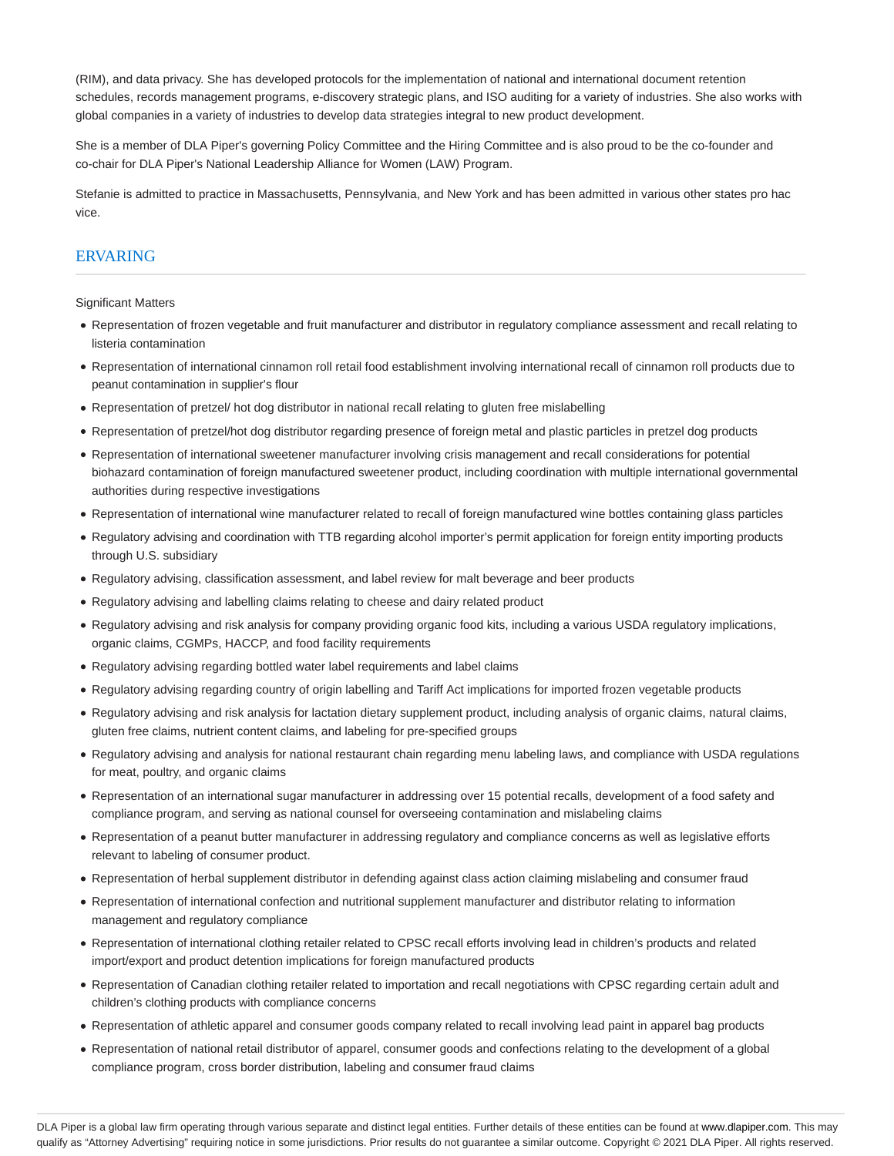(RIM), and data privacy. She has developed protocols for the implementation of national and international document retention schedules, records management programs, e-discovery strategic plans, and ISO auditing for a variety of industries. She also works with global companies in a variety of industries to develop data strategies integral to new product development.

She is a member of DLA Piper's governing Policy Committee and the Hiring Committee and is also proud to be the co-founder and co-chair for DLA Piper's National Leadership Alliance for Women (LAW) Program.

Stefanie is admitted to practice in Massachusetts, Pennsylvania, and New York and has been admitted in various other states pro hac vice.

### ERVARING

Significant Matters

- Representation of frozen vegetable and fruit manufacturer and distributor in regulatory compliance assessment and recall relating to listeria contamination
- Representation of international cinnamon roll retail food establishment involving international recall of cinnamon roll products due to peanut contamination in supplier's flour
- Representation of pretzel/ hot dog distributor in national recall relating to gluten free mislabelling
- Representation of pretzel/hot dog distributor regarding presence of foreign metal and plastic particles in pretzel dog products
- Representation of international sweetener manufacturer involving crisis management and recall considerations for potential biohazard contamination of foreign manufactured sweetener product, including coordination with multiple international governmental authorities during respective investigations
- Representation of international wine manufacturer related to recall of foreign manufactured wine bottles containing glass particles
- Regulatory advising and coordination with TTB regarding alcohol importer's permit application for foreign entity importing products through U.S. subsidiary
- Regulatory advising, classification assessment, and label review for malt beverage and beer products
- Regulatory advising and labelling claims relating to cheese and dairy related product
- Regulatory advising and risk analysis for company providing organic food kits, including a various USDA regulatory implications, organic claims, CGMPs, HACCP, and food facility requirements
- Regulatory advising regarding bottled water label requirements and label claims
- Regulatory advising regarding country of origin labelling and Tariff Act implications for imported frozen vegetable products
- Regulatory advising and risk analysis for lactation dietary supplement product, including analysis of organic claims, natural claims, gluten free claims, nutrient content claims, and labeling for pre-specified groups
- Regulatory advising and analysis for national restaurant chain regarding menu labeling laws, and compliance with USDA regulations for meat, poultry, and organic claims
- Representation of an international sugar manufacturer in addressing over 15 potential recalls, development of a food safety and compliance program, and serving as national counsel for overseeing contamination and mislabeling claims
- Representation of a peanut butter manufacturer in addressing regulatory and compliance concerns as well as legislative efforts relevant to labeling of consumer product.
- Representation of herbal supplement distributor in defending against class action claiming mislabeling and consumer fraud
- Representation of international confection and nutritional supplement manufacturer and distributor relating to information management and regulatory compliance
- Representation of international clothing retailer related to CPSC recall efforts involving lead in children's products and related import/export and product detention implications for foreign manufactured products
- Representation of Canadian clothing retailer related to importation and recall negotiations with CPSC regarding certain adult and children's clothing products with compliance concerns
- Representation of athletic apparel and consumer goods company related to recall involving lead paint in apparel bag products
- Representation of national retail distributor of apparel, consumer goods and confections relating to the development of a global compliance program, cross border distribution, labeling and consumer fraud claims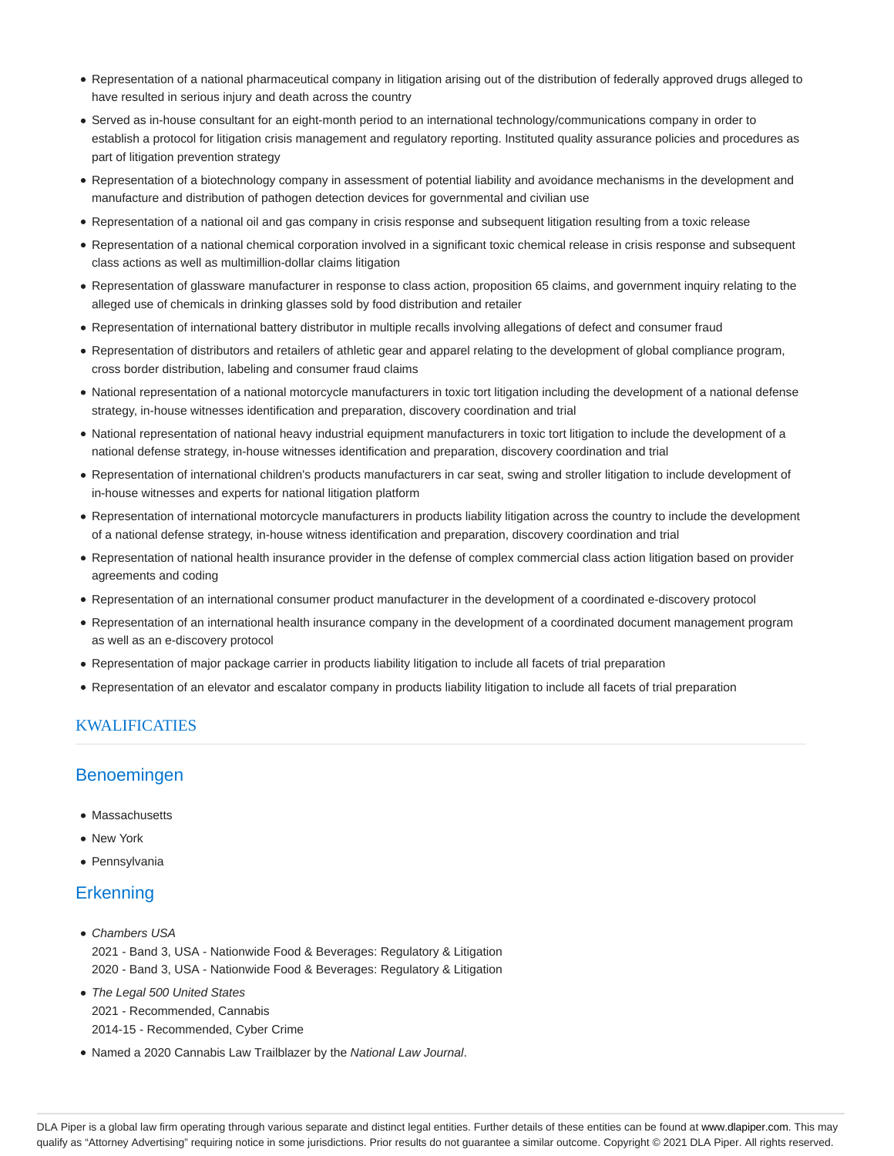- Representation of a national pharmaceutical company in litigation arising out of the distribution of federally approved drugs alleged to have resulted in serious injury and death across the country
- Served as in-house consultant for an eight-month period to an international technology/communications company in order to establish a protocol for litigation crisis management and regulatory reporting. Instituted quality assurance policies and procedures as part of litigation prevention strategy
- Representation of a biotechnology company in assessment of potential liability and avoidance mechanisms in the development and manufacture and distribution of pathogen detection devices for governmental and civilian use
- Representation of a national oil and gas company in crisis response and subsequent litigation resulting from a toxic release
- Representation of a national chemical corporation involved in a significant toxic chemical release in crisis response and subsequent class actions as well as multimillion-dollar claims litigation
- Representation of glassware manufacturer in response to class action, proposition 65 claims, and government inquiry relating to the alleged use of chemicals in drinking glasses sold by food distribution and retailer
- Representation of international battery distributor in multiple recalls involving allegations of defect and consumer fraud
- Representation of distributors and retailers of athletic gear and apparel relating to the development of global compliance program, cross border distribution, labeling and consumer fraud claims
- National representation of a national motorcycle manufacturers in toxic tort litigation including the development of a national defense strategy, in-house witnesses identification and preparation, discovery coordination and trial
- National representation of national heavy industrial equipment manufacturers in toxic tort litigation to include the development of a national defense strategy, in-house witnesses identification and preparation, discovery coordination and trial
- Representation of international children's products manufacturers in car seat, swing and stroller litigation to include development of in-house witnesses and experts for national litigation platform
- Representation of international motorcycle manufacturers in products liability litigation across the country to include the development of a national defense strategy, in-house witness identification and preparation, discovery coordination and trial
- Representation of national health insurance provider in the defense of complex commercial class action litigation based on provider agreements and coding
- Representation of an international consumer product manufacturer in the development of a coordinated e-discovery protocol
- Representation of an international health insurance company in the development of a coordinated document management program as well as an e-discovery protocol
- Representation of major package carrier in products liability litigation to include all facets of trial preparation
- Representation of an elevator and escalator company in products liability litigation to include all facets of trial preparation

### KWALIFICATIES

## Benoemingen

- Massachusetts
- New York
- Pennsylvania

## **Erkenning**

- Chambers USA 2021 - Band 3, USA - Nationwide Food & Beverages: Regulatory & Litigation 2020 - Band 3, USA - Nationwide Food & Beverages: Regulatory & Litigation
- The Legal 500 United States 2021 - Recommended, Cannabis 2014-15 - Recommended, Cyber Crime
- Named a 2020 Cannabis Law Trailblazer by the National Law Journal.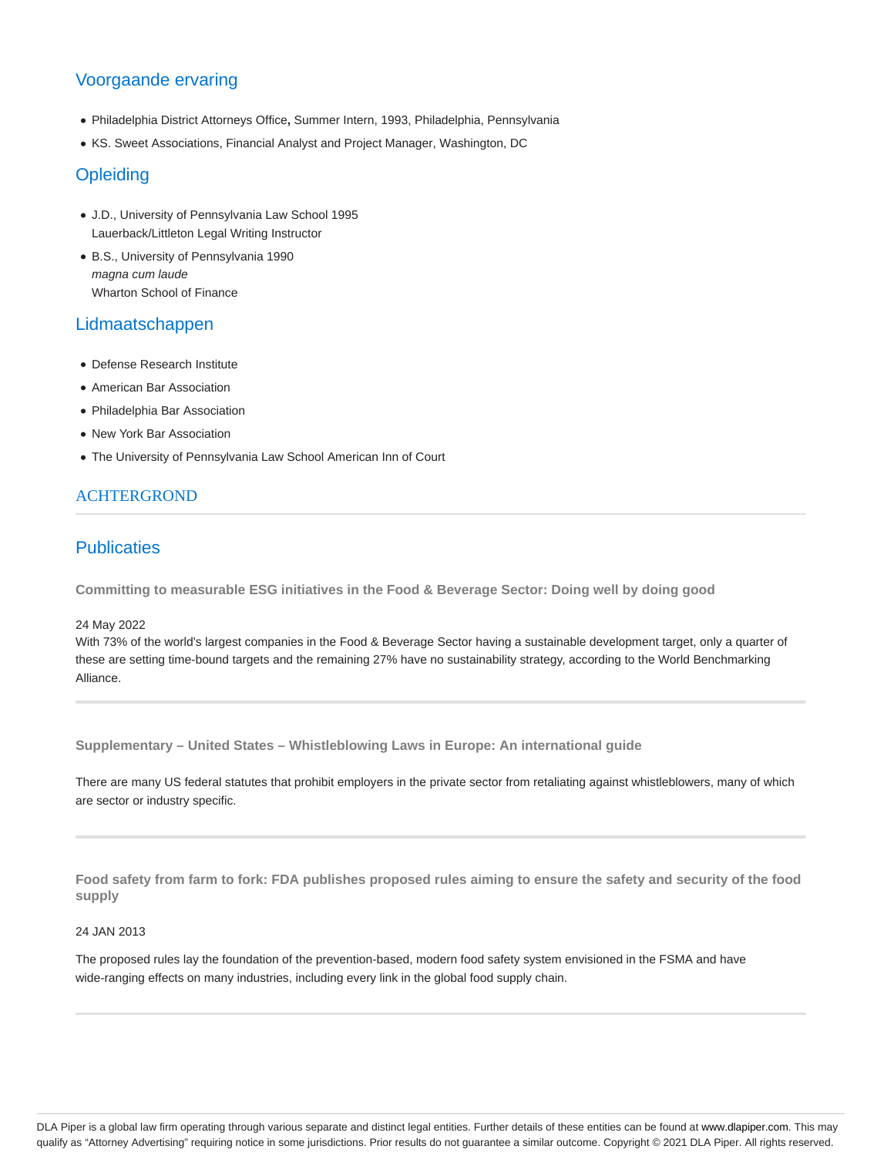# Voorgaande ervaring

- Philadelphia District Attorneys Office**,** Summer Intern, 1993, Philadelphia, Pennsylvania
- KS. Sweet Associations, Financial Analyst and Project Manager, Washington, DC

## **Opleiding**

- J.D., University of Pennsylvania Law School 1995 Lauerback/Littleton Legal Writing Instructor
- B.S., University of Pennsylvania 1990 magna cum laude Wharton School of Finance

## Lidmaatschappen

- Defense Research Institute
- American Bar Association
- Philadelphia Bar Association
- New York Bar Association
- The University of Pennsylvania Law School American Inn of Court

### ACHTERGROND

## **Publicaties**

**Committing to measurable ESG initiatives in the Food & Beverage Sector: Doing well by doing good**

#### 24 May 2022

With 73% of the world's largest companies in the Food & Beverage Sector having a sustainable development target, only a quarter of these are setting time-bound targets and the remaining 27% have no sustainability strategy, according to the World Benchmarking Alliance.

**Supplementary – United States – Whistleblowing Laws in Europe: An international guide**

There are many US federal statutes that prohibit employers in the private sector from retaliating against whistleblowers, many of which are sector or industry specific.

**Food safety from farm to fork: FDA publishes proposed rules aiming to ensure the safety and security of the food supply**

#### 24 JAN 2013

The proposed rules lay the foundation of the prevention-based, modern food safety system envisioned in the FSMA and have wide-ranging effects on many industries, including every link in the global food supply chain.

DLA Piper is a global law firm operating through various separate and distinct legal entities. Further details of these entities can be found at www.dlapiper.com. This may qualify as "Attorney Advertising" requiring notice in some jurisdictions. Prior results do not guarantee a similar outcome. Copyright © 2021 DLA Piper. All rights reserved.